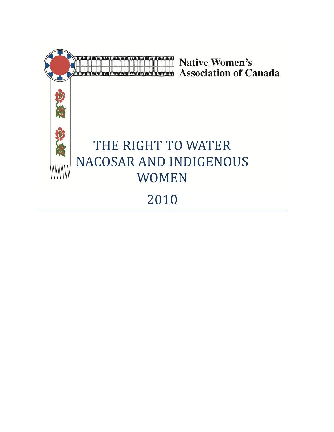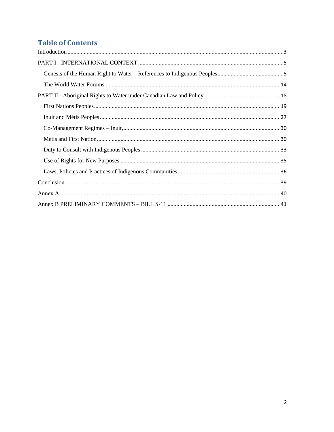# **Table of Contents**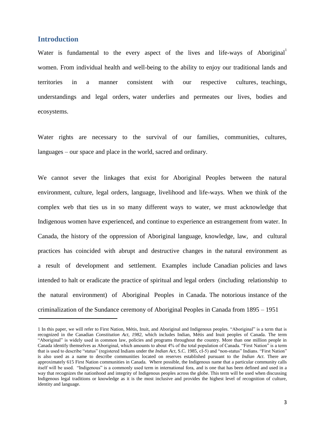# <span id="page-2-0"></span>**Introduction**

Water is fundamental to the every aspect of the lives and life-ways of Aboriginal<sup>1</sup> women. From individual health and well-being to the ability to enjoy our traditional lands and territories in a manner consistent with our respective cultures, teachings, understandings and legal orders, water underlies and permeates our lives, bodies and ecosystems.

Water rights are necessary to the survival of our families, communities, cultures, languages – our space and place in the world, sacred and ordinary.

We cannot sever the linkages that exist for Aboriginal Peoples between the natural environment, culture, legal orders, language, livelihood and life-ways. When we think of the complex web that ties us in so many different ways to water, we must acknowledge that Indigenous women have experienced, and continue to experience an estrangement from water. In Canada, the history of the oppression of Aboriginal language, knowledge, law, and cultural practices has coincided with abrupt and destructive changes in the natural environment as a result of development and settlement. Examples include Canadian policies and laws intended to halt or eradicate the practice of spiritual and legal orders (including relationship to the natural environment) of Aboriginal Peoples in Canada. The notorious instance of the criminalization of the Sundance ceremony of Aboriginal Peoples in Canada from 1895 – 1951

<sup>1</sup> In this paper, we will refer to First Nation, Métis, Inuit, and Aboriginal and Indigenous peoples. "Aboriginal" is a term that is recognized in the Canadian *Constitution Act, 1982*, which includes Indian, Métis and Inuit peoples of Canada. The term "Aboriginal" is widely used in common law, policies and programs throughout the country. More than one million people in Canada identify themselves as Aboriginal, which amounts to about 4% of the total population of Canada. "First Nation" is a term that is used to describe "status" (registered Indians under the *Indian Act, S.C. 1985, cI-5*) and "non-status" Indians. "First Nation" is also used as a name to describe communities located on reserves established pursuant to the *Indian Act*. There are approximately 615 First Nation communities in Canada. Where possible, the Indigenous name that a particular community calls itself will be used. "Indigenous" is a commonly used term in international fora, and is one that has been defined and used in a way that recognizes the nationhood and integrity of Indigenous peoples across the globe. This term will be used when discussing Indigenous legal traditions or knowledge as it is the most inclusive and provides the highest level of recognition of culture, identity and language.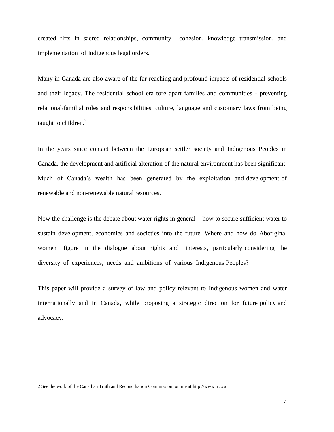created rifts in sacred relationships, community cohesion, knowledge transmission, and implementation of Indigenous legal orders.

Many in Canada are also aware of the far-reaching and profound impacts of residential schools and their legacy. The residential school era tore apart families and communities - preventing relational/familial roles and responsibilities, culture, language and customary laws from being taught to children. $2$ 

In the years since contact between the European settler society and Indigenous Peoples in Canada, the development and artificial alteration of the natural environment has been significant. Much of Canada's wealth has been generated by the exploitation and development of renewable and non-renewable natural resources.

Now the challenge is the debate about water rights in general – how to secure sufficient water to sustain development, economies and societies into the future. Where and how do Aboriginal women figure in the dialogue about rights and interests, particularly considering the diversity of experiences, needs and ambitions of various Indigenous Peoples?

This paper will provide a survey of law and policy relevant to Indigenous women and water internationally and in Canada, while proposing a strategic direction for future policy and advocacy.

<sup>2</sup> See the work of the Canadian Truth and Reconciliation Commission, online at [http://www.trc.ca](http://www.trc.ca/)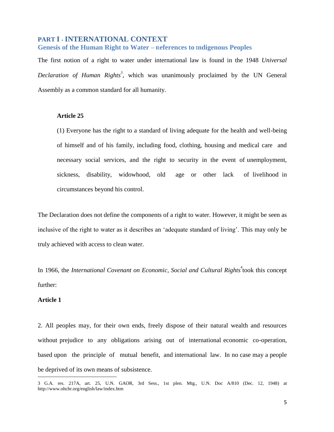# <span id="page-4-0"></span>**PART I** ‐ **INTERNATIONAL CONTEXT**

## <span id="page-4-1"></span>**Genesis of the Human Right to Water – References to Indigenous Peoples**

The first notion of a right to water under international law is found in the 1948 *Universal Declaration of Human Rights<sup>3</sup>* , which was unanimously proclaimed by the UN General Assembly as a common standard for all humanity.

## **Article 25**

(1) Everyone has the right to a standard of living adequate for the health and well-being of himself and of his family, including food, clothing, housing and medical care and necessary social services, and the right to security in the event of unemployment, sickness, disability, widowhood, old age or other lack of livelihood in circumstances beyond his control.

The Declaration does not define the components of a right to water. However, it might be seen as inclusive of the right to water as it describes an 'adequate standard of living'. This may only be truly achieved with access to clean water.

In 1966, the *International Covenant on Economic, Social and Cultural Rights<sup>4</sup>* took this concept further:

## **Article 1**

2. All peoples may, for their own ends, freely dispose of their natural wealth and resources without prejudice to any obligations arising out of international economic co-operation, based upon the principle of mutual benefit, and international law. In no case may a people be deprived of its own means of subsistence.

<sup>3</sup> G.A. res. 217A, art. 25, U.N. GAOR, 3rd Sess., 1st plen. Mtg., U.N. Doc A/810 (Dec. 12, 1948) at <http://www.ohchr.org/english/law/index.htm>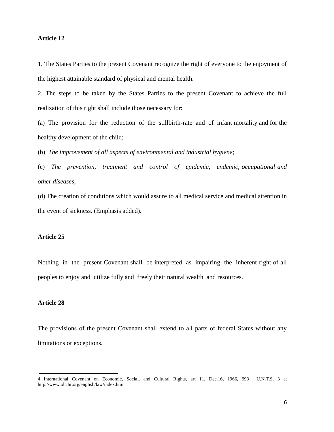## **Article 12**

1. The States Parties to the present Covenant recognize the right of everyone to the enjoyment of the highest attainable standard of physical and mental health.

2. The steps to be taken by the States Parties to the present Covenant to achieve the full realization of this right shall include those necessary for:

(a) The provision for the reduction of the stillbirth-rate and of infant mortality and for the healthy development of the child;

(b) *The improvement of all aspects of environmental and industrial hygiene*;

(c) *The prevention, treatment and control of epidemic, endemic, occupational and other diseases*;

(d) The creation of conditions which would assure to all medical service and medical attention in the event of sickness. (Emphasis added).

### **Article 25**

Nothing in the present Covenant shall be interpreted as impairing the inherent right of all peoples to enjoy and utilize fully and freely their natural wealth and resources.

# **Article 28**

The provisions of the present Covenant shall extend to all parts of federal States without any limitations or exceptions.

<sup>4</sup> International Covenant on Economic, Social, and Cultural Rights, art 11, Dec.16, 1966, 993 U.N.T.S. 3 at <http://www.ohchr.org/english/law/index.htm>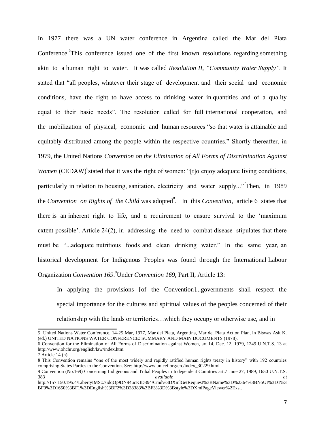In 1977 there was a UN water conference in Argentina called the Mar del Plata Conference.<sup>5</sup>This conference issued one of the first known resolutions regarding something akin to a human right to water. It was called *Resolution II, "Community Water Supply".* It stated that "all peoples, whatever their stage of development and their social and economic conditions, have the right to have access to drinking water in quantities and of a quality equal to their basic needs". The resolution called for full international cooperation, and the mobilization of physical, economic and human resources "so that water is attainable and equitably distributed among the people within the respective countries." Shortly thereafter, in 1979, the United Nations *Convention on the Elimination of All Forms of Discrimination Against*  Women (CEDAW)<sup>6</sup> stated that it was the right of women: "[t]o enjoy adequate living conditions, particularly in relation to housing, sanitation, electricity and water supply..."<sup>7</sup>Then, in 1989 the *Convention on Rights of the Child* was adopted<sup>8</sup>. In this *Convention*, article 6 states that there is an inherent right to life, and a requirement to ensure survival to the 'maximum extent possible'. Article 24(2), in addressing the need to combat disease stipulates that there must be "...adequate nutritious foods and clean drinking water." In the same year, an historical development for Indigenous Peoples was found through the International Labour Organization *Convention 169*.<sup>9</sup> Under *Convention 169*, Part II, Article 13:

In applying the provisions [of the Convention]...governments shall respect the special importance for the cultures and spiritual values of the peoples concerned of their relationship with the lands or territories…which they occupy or otherwise use, and in

<sup>5</sup> United Nations Water Conference, 14-25 Mar, 1977, Mar del Plata, Argentina, Mar del Plata Action Plan, in Biswas Asit K. (ed.) UNITED NATIONS WATER CONFERENCE: SUMMARY AND MAIN DOCUMENTS (1978).

<sup>6</sup> Convention for the Elimination of All Forms of Discrimination against Women, art 14, Dec. 12, 1979, 1249 U.N.T.S. 13 at http://www.ohchr.org/english/law/index.htm.

<sup>7</sup> Article 14 (h)

<sup>8</sup> This Convention remains "one of the most widely and rapidly ratified human rights treaty in history" with 192 countries comprising States Parties to the Convention. See: http://www.unicef.org/crc/index\_30229.html

<sup>9</sup> Convention (No.169) Concerning Indigenous and Tribal Peoples in Independent Countries art.7 June 27, 1989, 1650 U.N.T.S. 383 *available at* 

http://157.150.195.4/LibertyIMS::/sidqOj9DN94ucKID394/Cmd%3DXmlGetRequest%3BName%3D%2364%3BNoUI%3D1%3 BF0%3D1650%3BF1%3DEnglish%3BF2%3D28383%3BF3%3D%3Bstyle%3DXmlPageViewer%2Exsl.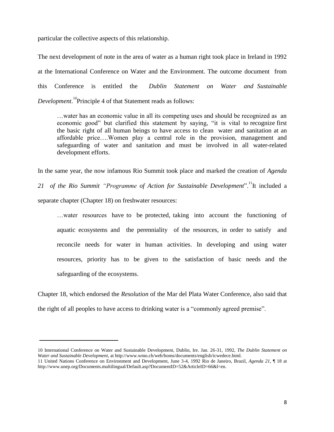particular the collective aspects of this relationship.

The next development of note in the area of water as a human right took place in Ireland in 1992 at the International Conference on Water and the Environment. The outcome document from this Conference is entitled the *Dublin Statement on Water and Sustainable* Development.<sup>10</sup>Principle 4 of that Statement reads as follows:

…water has an economic value in all its competing uses and should be recognized as an economic good" but clarified this statement by saying, "it is vital to recognize first the basic right of all human beings to have access to clean water and sanitation at an affordable price….Women play a central role in the provision, management and safeguarding of water and sanitation and must be involved in all water-related development efforts.

In the same year, the now infamous Rio Summit took place and marked the creation of *Agenda* 

21 of the Rio Summit *"Programme of Action for Sustainable Development*".<sup>11</sup>It included a separate chapter (Chapter 18) on freshwater resources:

…water resources have to be protected, taking into account the functioning of aquatic ecosystems and the perenniality of the resources, in order to satisfy and reconcile needs for water in human activities. In developing and using water resources, priority has to be given to the satisfaction of basic needs and the safeguarding of the ecosystems.

Chapter 18, which endorsed the *Resolution* of the Mar del Plata Water Conference, also said that the right of all peoples to have access to drinking water is a "commonly agreed premise".

<sup>10</sup> International Conference on Water and Sustainable Development, Dublin, Ire. Jan. 26-31, 1992, *The Dublin Statement on Water and Sustainable Development*, at http://www.wmo.ch/web/homs/documents/english/icwedece.html.

<sup>11</sup> United Nations Conference on Environment and Development, June 3-4, 1992 Rio de Janeiro, Brazil, *Agenda 21*, ¶ 18 at http://www.unep.org/Documents.multilingual/Default.asp?DocumentID=52&ArticleID=66&l=en.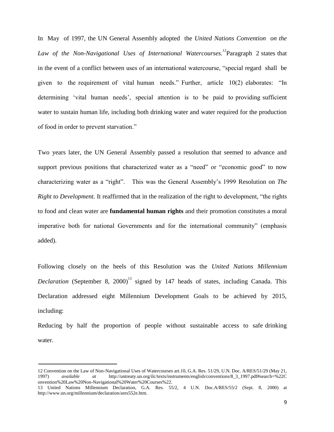In May of 1997, the UN General Assembly adopted the *United Nations Convention on the Law of the Non-Navigational Uses of International Watercourses.<sup>12</sup>*Paragraph 2 states that in the event of a conflict between uses of an international watercourse, "special regard shall be given to the requirement of vital human needs." Further, article  $10(2)$  elaborates: "In determining 'vital human needs', special attention is to be paid to providing sufficient water to sustain human life, including both drinking water and water required for the production of food in order to prevent starvation."

Two years later, the UN General Assembly passed a resolution that seemed to advance and support previous positions that characterized water as a "need" or "economic good" to now characterizing water as a "right". This was the General Assembly's 1999 Resolution on *The Right to Development.* It reaffirmed that in the realization of the right to development, "the rights" to food and clean water are **fundamental human rights** and their promotion constitutes a moral imperative both for national Governments and for the international community" (emphasis added).

Following closely on the heels of this Resolution was the *United Nations Millennium Declaration* (September 8, 2000)<sup>13</sup> signed by 147 heads of states, including Canada. This Declaration addressed eight Millennium Development Goals to be achieved by 2015, including:

Reducing by half the proportion of people without sustainable access to safe drinking water.

<sup>12</sup> Convention on the Law of Non-Navigational Uses of Watercourses art.10, G.A. Res. 51/29, U.N. Doc. A/RES/51/29 (May 21, 1997) *available at* http://untreaty.un.org/ilc/texts/instruments/english/conventions/8\_3\_1997.pdf#search=%22C onvention%20Law%20Non-Navigational%20Water%20Courses%22.

<sup>13</sup> United Nations Millennium Declaration, G.A. Res. 55/2, 4 U.N. Doc.A/RES/55/2 (Sept. 8, 2000) at http://www.un.org/millennium/declaration/ares552e.htm.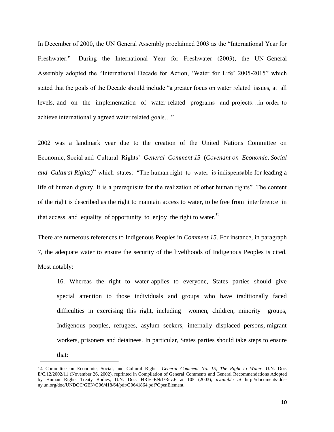In December of 2000, the UN General Assembly proclaimed 2003 as the "International Year for Freshwater." During the International Year for Freshwater (2003), the UN General Assembly adopted the "International Decade for Action, 'Water for Life' 2005-2015" which stated that the goals of the Decade should include "a greater focus on water related issues, at all levels, and on the implementation of water related programs and projects…in order to achieve internationally agreed water related goals..."

2002 was a landmark year due to the creation of the United Nations Committee on Economic, Social and Cultural Rights' *General Comment 15* (*Covenant on Economic, Social and Cultural Rights*<sup> $14$ </sup> which states: "The human right to water is indispensable for leading a life of human dignity. It is a prerequisite for the realization of other human rights". The content of the right is described as the right to maintain access to water, to be free from interference in that access, and equality of opportunity to enjoy the right to water.<sup>15</sup>

There are numerous references to Indigenous Peoples in *Comment 15*. For instance, in paragraph 7, the adequate water to ensure the security of the livelihoods of Indigenous Peoples is cited. Most notably:

16. Whereas the right to water applies to everyone, States parties should give special attention to those individuals and groups who have traditionally faced difficulties in exercising this right, including women, children, minority groups, Indigenous peoples, refugees, asylum seekers, internally displaced persons, migrant workers, prisoners and detainees. In particular, States parties should take steps to ensure that:

<sup>14</sup> Committee on Economic, Social, and Cultural Rights, *General Comment No. 15, The Right to Water,* U.N. Doc. E/C.12/2002/11 (November 26, 2002), reprinted in Compilation of General Comments and General Recommendations Adopted by Human Rights Treaty Bodies, U.N. Doc. HRI/GEN/1/Rev.6 at 105 (2003), *available at* http://documents-ddsny.un.org/doc/UNDOC/GEN/G06/418/64/pdf/G0641864.pdf?OpenElement.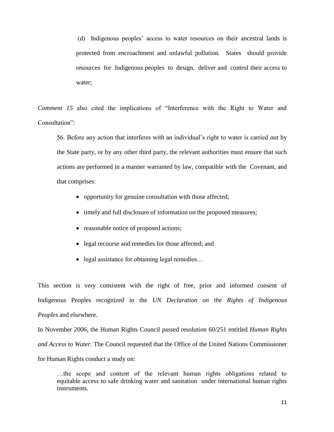(d) Indigenous peoples' access to water resources on their ancestral lands is protected from encroachment and unlawful pollution. States should provide resources for Indigenous peoples to design, deliver and control their access to water;

*Comment* 15 also cited the implications of "Interference with the Right to Water and Consultation":

56. Before any action that interferes with an individual's right to water is carried out by the State party, or by any other third party, the relevant authorities must ensure that such actions are performed in a manner warranted by law, compatible with the Covenant, and that comprises:

- opportunity for genuine consultation with those affected;
- timely and full disclosure of information on the proposed measures;
- reasonable notice of proposed actions;
- legal recourse and remedies for those affected; and
- legal assistance for obtaining legal remedies...

This section is very consistent with the right of free, prior and informed consent of Indigenous Peoples recognized in the *UN Declaration on the Rights of Indigenous Peoples* and elsewhere.

In November 2006, the Human Rights Council passed resolution 60/251 entitled *Human Rights and Access to Water*. The Council requested that the Office of the United Nations Commissioner for Human Rights conduct a study on:

…the scope and content of the relevant human rights obligations related to equitable access to safe drinking water and sanitation under international human rights instruments.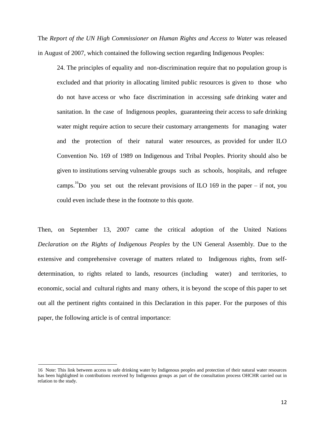The *Report of the UN High Commissioner on Human Rights and Access to Water* was released in August of 2007, which contained the following section regarding Indigenous Peoples:

24. The principles of equality and non-discrimination require that no population group is excluded and that priority in allocating limited public resources is given to those who do not have access or who face discrimination in accessing safe drinking water and sanitation. In the case of Indigenous peoples, guaranteeing their access to safe drinking water might require action to secure their customary arrangements for managing water and the protection of their natural water resources, as provided for under ILO Convention No. 169 of 1989 on Indigenous and Tribal Peoples. Priority should also be given to institutions serving vulnerable groups such as schools, hospitals, and refugee camps.<sup>16</sup>Do you set out the relevant provisions of ILO 169 in the paper – if not, you could even include these in the footnote to this quote.

Then, on September 13, 2007 came the critical adoption of the United Nations *Declaration on the Rights of Indigenous Peoples* by the UN General Assembly*.* Due to the extensive and comprehensive coverage of matters related to Indigenous rights, from selfdetermination, to rights related to lands, resources (including water) and territories, to economic, social and cultural rights and many others, it is beyond the scope of this paper to set out all the pertinent rights contained in this Declaration in this paper. For the purposes of this paper, the following article is of central importance:

<sup>16</sup> Note: This link between access to safe drinking water by Indigenous peoples and protection of their natural water resources has been highlighted in contributions received by Indigenous groups as part of the consultation process OHCHR carried out in relation to the study.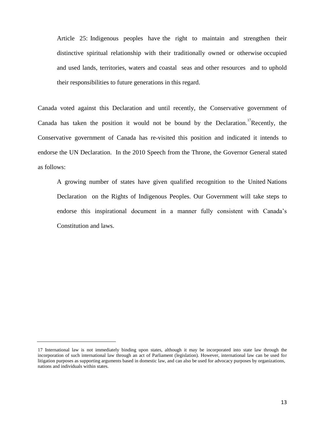Article 25: Indigenous peoples have the right to maintain and strengthen their distinctive spiritual relationship with their traditionally owned or otherwise occupied and used lands, territories, waters and coastal seas and other resources and to uphold their responsibilities to future generations in this regard.

Canada voted against this Declaration and until recently, the Conservative government of Canada has taken the position it would not be bound by the Declaration.<sup>17</sup>Recently, the Conservative government of Canada has re-visited this position and indicated it intends to endorse the UN Declaration. In the 2010 Speech from the Throne, the Governor General stated as follows:

A growing number of states have given qualified recognition to the United Nations Declaration on the Rights of Indigenous Peoples. Our Government will take steps to endorse this inspirational document in a manner fully consistent with Canada's Constitution and laws.

<sup>17</sup> International law is not immediately binding upon states, although it may be incorporated into state law through the incorporation of such international law through an act of Parliament (legislation). However, international law can be used for litigation purposes as supporting arguments based in domestic law, and can also be used for advocacy purposes by organizations, nations and individuals within states.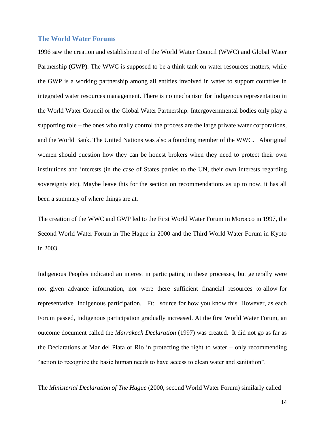#### <span id="page-13-0"></span>**The World Water Forums**

1996 saw the creation and establishment of the World Water Council (WWC) and Global Water Partnership (GWP). The WWC is supposed to be a think tank on water resources matters, while the GWP is a working partnership among all entities involved in water to support countries in integrated water resources management. There is no mechanism for Indigenous representation in the World Water Council or the Global Water Partnership. Intergovernmental bodies only play a supporting role – the ones who really control the process are the large private water corporations, and the World Bank. The United Nations was also a founding member of the WWC. Aboriginal women should question how they can be honest brokers when they need to protect their own institutions and interests (in the case of States parties to the UN, their own interests regarding sovereignty etc). Maybe leave this for the section on recommendations as up to now, it has all been a summary of where things are at.

The creation of the WWC and GWP led to the First World Water Forum in Morocco in 1997, the Second World Water Forum in The Hague in 2000 and the Third World Water Forum in Kyoto in 2003.

Indigenous Peoples indicated an interest in participating in these processes, but generally were not given advance information, nor were there sufficient financial resources to allow for representative Indigenous participation. Ft: source for how you know this. However, as each Forum passed, Indigenous participation gradually increased. At the first World Water Forum, an outcome document called the *Marrakech Declaration* (1997) was created. It did not go as far as the Declarations at Mar del Plata or Rio in protecting the right to water – only recommending "action to recognize the basic human needs to have access to clean water and sanitation".

The *Ministerial Declaration of The Hague* (2000, second World Water Forum) similarly called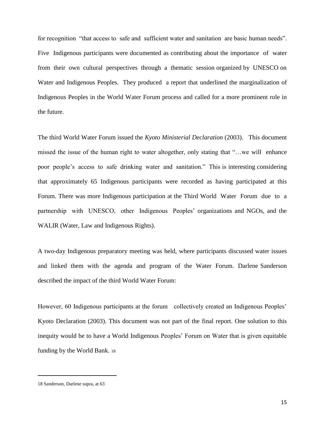for recognition "that access to safe and sufficient water and sanitation are basic human needs". Five Indigenous participants were documented as contributing about the importance of water from their own cultural perspectives through a thematic session organized by UNESCO on Water and Indigenous Peoples. They produced a report that underlined the marginalization of Indigenous Peoples in the World Water Forum process and called for a more prominent role in the future.

The third World Water Forum issued the *Kyoto Ministerial Declaration* (2003). This document missed the issue of the human right to water altogether, only stating that "...we will enhance poor people's access to safe drinking water and sanitation." This is interesting considering that approximately 65 Indigenous participants were recorded as having participated at this Forum. There was more Indigenous participation at the Third World Water Forum due to a partnership with UNESCO, other Indigenous Peoples' organizations and NGOs, and the WALIR (Water, Law and Indigenous Rights).

A two-day Indigenous preparatory meeting was held, where participants discussed water issues and linked them with the agenda and program of the Water Forum. Darlene Sanderson described the impact of the third World Water Forum:

However, 60 Indigenous participants at the forum collectively created an Indigenous Peoples' Kyoto Declaration (2003). This document was not part of the final report. One solution to this inequity would be to have a World Indigenous Peoples' Forum on Water that is given equitable funding by the World Bank. <sup>18</sup>

<sup>18</sup> Sanderson, Darlene supra, at 63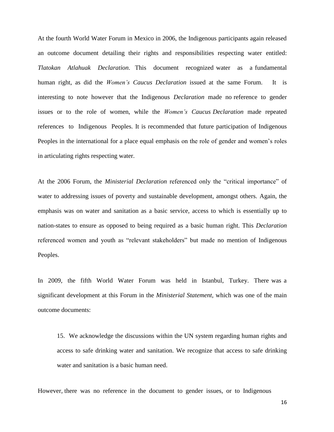At the fourth World Water Forum in Mexico in 2006, the Indigenous participants again released an outcome document detailing their rights and responsibilities respecting water entitled: *Tlatokan Atlahuak Declaration*. This document recognized water as a fundamental human right, as did the *Women's Caucus Declaration* issued at the same Forum. It is interesting to note however that the Indigenous *Declaration* made no reference to gender issues or to the role of women, while the *Women's Caucus Declaration* made repeated references to Indigenous Peoples. It is recommended that future participation of Indigenous Peoples in the international for a place equal emphasis on the role of gender and women's roles in articulating rights respecting water.

At the 2006 Forum, the *Ministerial Declaration* referenced only the "critical importance" of water to addressing issues of poverty and sustainable development, amongst others. Again, the emphasis was on water and sanitation as a basic service, access to which is essentially up to nation-states to ensure as opposed to being required as a basic human right. This *Declaration* referenced women and youth as "relevant stakeholders" but made no mention of Indigenous Peoples.

In 2009, the fifth World Water Forum was held in Istanbul, Turkey. There was a significant development at this Forum in the *Ministerial Statement*, which was one of the main outcome documents:

15. We acknowledge the discussions within the UN system regarding human rights and access to safe drinking water and sanitation. We recognize that access to safe drinking water and sanitation is a basic human need.

However, there was no reference in the document to gender issues, or to Indigenous

16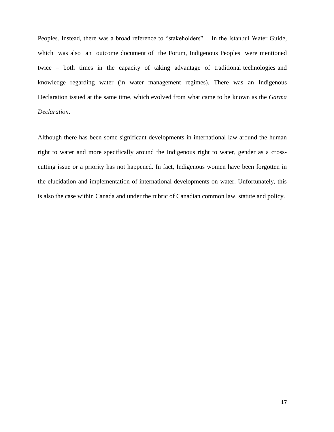Peoples. Instead, there was a broad reference to "stakeholders". In the Istanbul Water Guide, which was also an outcome document of the Forum, Indigenous Peoples were mentioned twice – both times in the capacity of taking advantage of traditional technologies and knowledge regarding water (in water management regimes). There was an Indigenous Declaration issued at the same time, which evolved from what came to be known as the *Garma Declaration*.

Although there has been some significant developments in international law around the human right to water and more specifically around the Indigenous right to water, gender as a crosscutting issue or a priority has not happened. In fact, Indigenous women have been forgotten in the elucidation and implementation of international developments on water. Unfortunately, this is also the case within Canada and under the rubric of Canadian common law, statute and policy.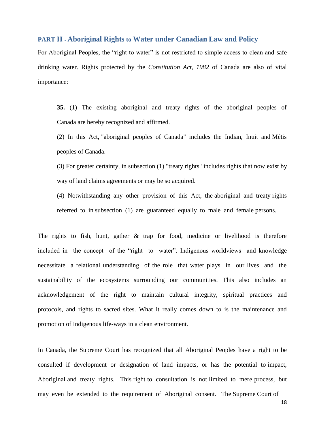# <span id="page-17-0"></span>**PART II** ‐ **Aboriginal Rights to Water under Canadian Law and Policy**

For Aboriginal Peoples, the "right to water" is not restricted to simple access to clean and safe drinking water. Rights protected by the *Constitution Act, 1982* of Canada are also of vital importance:

**35.** (1) The existing aboriginal and treaty rights of the aboriginal peoples of Canada are hereby recognized and affirmed.

(2) In this Act, "aboriginal peoples of Canada" includes the Indian, Inuit and Métis peoples of Canada.

(3) For greater certainty, in subsection (1) "treaty rights" includes rights that now exist by way of land claims agreements or may be so acquired.

(4) Notwithstanding any other provision of this Act, the aboriginal and treaty rights referred to in subsection (1) are guaranteed equally to male and female persons.

The rights to fish, hunt, gather & trap for food, medicine or livelihood is therefore included in the concept of the "right to water". Indigenous worldviews and knowledge necessitate a relational understanding of the role that water plays in our lives and the sustainability of the ecosystems surrounding our communities. This also includes an acknowledgement of the right to maintain cultural integrity, spiritual practices and protocols, and rights to sacred sites. What it really comes down to is the maintenance and promotion of Indigenous life-ways in a clean environment.

In Canada, the Supreme Court has recognized that all Aboriginal Peoples have a right to be consulted if development or designation of land impacts, or has the potential to impact, Aboriginal and treaty rights. This right to consultation is not limited to mere process, but may even be extended to the requirement of Aboriginal consent. The Supreme Court of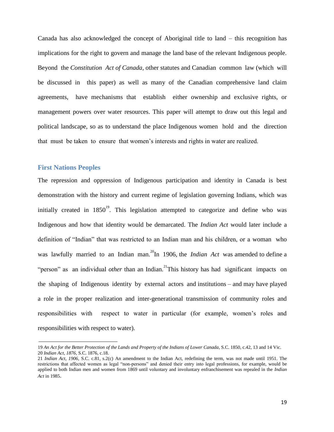Canada has also acknowledged the concept of Aboriginal title to land – this recognition has implications for the right to govern and manage the land base of the relevant Indigenous people. Beyond the *Constitution Act of Canada,* other statutes and Canadian common law (which will be discussed in this paper) as well as many of the Canadian comprehensive land claim agreements, have mechanisms that establish either ownership and exclusive rights, or management powers over water resources. This paper will attempt to draw out this legal and political landscape, so as to understand the place Indigenous women hold and the direction that must be taken to ensure that women's interests and rights in water are realized.

### <span id="page-18-0"></span>**First Nations Peoples**

The repression and oppression of Indigenous participation and identity in Canada is best demonstration with the history and current regime of legislation governing Indians, which was initially created in  $1850^{19}$ . This legislation attempted to categorize and define who was Indigenous and how that identity would be demarcated. The *Indian Act* would later include a definition of "Indian" that was restricted to an Indian man and his children, or a woman who was lawfully married to an Indian man.<sup>20</sup>In 1906, the *Indian Act* was amended to define a "person" as an individual *other* than an Indian.<sup>21</sup>This history has had significant impacts on the shaping of Indigenous identity by external actors and institutions – and may have played a role in the proper realization and inter-generational transmission of community roles and responsibilities with respect to water in particular (for example, women's roles and responsibilities with respect to water).

<sup>19</sup> *An Act for the Better Protection of the Lands and Property of the Indians of Lower Canada*, S.C. 1850, c.42, 13 and 14 Vic. 20 *Indian Act*, *1876*, S.C. 1876, c.18.

<sup>21</sup> *Indian Act, 1906*, S.C. c.81, s.2(c) An amendment to the Indian Act, redefining the term, was not made until 1951. The restrictions that affected women as legal "non-persons" and denied their entry into legal professions, for example, would be applied to both Indian men and women from 1869 until voluntary and involuntary enfranchisement was repealed in the *Indian Act* in 1985.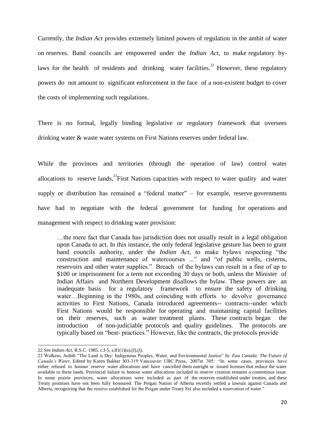Currently, the *Indian Act* provides extremely limited powers of regulation in the ambit of water on reserves. Band councils are empowered under the *Indian Act*, to make regulatory bylaws for the health of residents and drinking water facilities.<sup>22</sup> However, these regulatory powers do not amount to significant enforcement in the face of a non-existent budget to cover the costs of implementing such regulations.

There is no formal, legally binding legislative or regulatory framework that oversees drinking water & waste water systems on First Nations reserves under federal law.

While the provinces and territories (through the operation of law) control water allocations to reserve lands.<sup>23</sup>First Nations capacities with respect to water quality and water supply or distribution has remained a "federal matter" – for example, reserve governments have had to negotiate with the federal government for funding for operations and management with respect to drinking water provision:

…the mere fact that Canada has jurisdiction does not usually result in a legal obligation upon Canada to act. In this instance, the only federal legislative gesture has been to grant band councils authority, under the *Indian Act*, to make bylaws respecting "the construction and maintenance of watercourses ..." and "of public wells, cisterns, reservoirs and other water supplies." Breach of the bylaws can result in a fine of up to \$100 or imprisonment for a term not exceeding 30 days or both, unless the Minister of Indian Affairs and Northern Development disallows the bylaw. These powers are an inadequate basis for a regulatory framework to ensure the safety of drinking water…Beginning in the 1980s, and coinciding with efforts to devolve governance activities to First Nations, Canada introduced agreements-- contracts--under which First Nations would be responsible for operating and maintaining capital facilities on their reserves, such as water treatment plants. These contracts began introduction of non-judiciable protocols and quality guidelines. The protocols are typically based on "best- practices." However, like the contracts, the protocols provide

<sup>22</sup> See *Indian Act*, R.S.C. 1985, c.I-5, s.81(1)(a),(f),(l).

<sup>23</sup> Walkem, Ardith "The Land is Dry: Indigenous Peoples, Water, and Environmental Justice" In: *Eau Canada: The Future of Canada's Water*, Edited by Karen Bakker 303-319 Vancouver: UBC Press, 2007at 305: "In some cases, provinces have either refused to honour reserve water allocations and have cancelled them outright or issued licenses that reduce the water available to these lands. Provincial failure to honour water allocations included in reserve creation remains a contentious issue. In some prairie provinces, water allocations were included as part of the reserves established under treaties, and these Treaty promises have not been fully honoured. The Peigan Nation of Alberta recently settled a lawsuit against Canada and Alberta, recognizing that the reserve established for the Peigan under Treaty Six also included a reservation of water."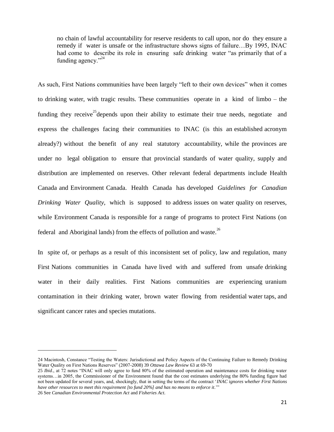no chain of lawful accountability for reserve residents to call upon, nor do they ensure a remedy if water is unsafe or the infrastructure shows signs of failure…By 1995, INAC had come to describe its role in ensuring safe drinking water "as primarily that of a funding agency  $\frac{1}{2}$ 

As such, First Nations communities have been largely "left to their own devices" when it comes to drinking water, with tragic results. These communities operate in a kind of limbo – the funding they receive<sup>25</sup> depends upon their ability to estimate their true needs, negotiate and express the challenges facing their communities to INAC (is this an established acronym already?) without the benefit of any real statutory accountability, while the provinces are under no legal obligation to ensure that provincial standards of water quality, supply and distribution are implemented on reserves. Other relevant federal departments include Health Canada and Environment Canada. Health Canada has developed *Guidelines for Canadian Drinking Water Quality*, which is supposed to address issues on water quality on reserves, while Environment Canada is responsible for a range of programs to protect First Nations (on federal and Aboriginal lands) from the effects of pollution and waste.<sup>26</sup>

In spite of, or perhaps as a result of this inconsistent set of policy, law and regulation, many First Nations communities in Canada have lived with and suffered from unsafe drinking water in their daily realities. First Nations communities are experiencing uranium contamination in their drinking water, brown water flowing from residential water taps, and significant cancer rates and species mutations.

<sup>24</sup> Macintosh, Constance "Testing the Waters: Jurisdictional and Policy Aspects of the Continuing Failure to Remedy Drinking Water Quality on First Nations Reserves" (2007-2008) 39 Ottawa Law Review 63 at 69-70

<sup>25</sup> *Ibid.*, at 72 notes "INAC will only agree to fund 80% of the estimated operation and maintenance costs for drinking water systems...in 2005, the Commissioner of the Environment found that the cost estimates underlying the 80% funding figure had not been updated for several years, and, shockingly, that in setting the terms of the contract ‗*INAC ignores whether First Nations have other resources to meet this requirement [to fund 20%] and has no means to enforce it*.'‖ 26 See *Canadian Environmental Protection Act* and *Fisheries Act*.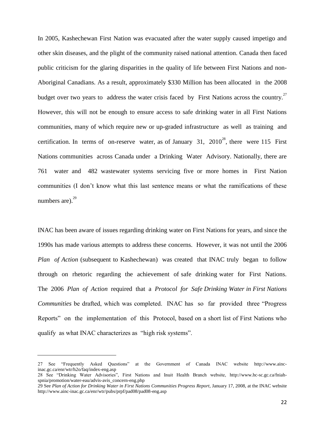In 2005, Kashechewan First Nation was evacuated after the water supply caused impetigo and other skin diseases, and the plight of the community raised national attention. Canada then faced public criticism for the glaring disparities in the quality of life between First Nations and non-Aboriginal Canadians. As a result, approximately \$330 Million has been allocated in the 2008 budget over two years to address the water crisis faced by First Nations across the country.<sup>27</sup> However, this will not be enough to ensure access to safe drinking water in all First Nations communities, many of which require new or up-graded infrastructure as well as training and certification. In terms of on-reserve water, as of January 31,  $2010^{28}$ , there were 115 First Nations communities across Canada under a Drinking Water Advisory. Nationally, there are 761 water and 482 wastewater systems servicing five or more homes in First Nation communities (I don't know what this last sentence means or what the ramifications of these numbers are). $^{29}$ 

INAC has been aware of issues regarding drinking water on First Nations for years, and since the 1990s has made various attempts to address these concerns. However, it was not until the 2006 *Plan of Action* (subsequent to Kashechewan) was created that INAC truly began to follow through on rhetoric regarding the achievement of safe drinking water for First Nations. The 2006 *Plan of Action* required that a *Protocol for Safe Drinking Water in First Nations Communities* be drafted, which was completed. INAC has so far provided three "Progress Reports" on the implementation of this Protocol, based on a short list of First Nations who qualify as what INAC characterizes as "high risk systems".

<sup>27</sup> See "Frequently Asked Questions" at the Government of Canada INAC website [http://www.ainc](http://www.ainc-inac.gc.ca/enr/wtr/h2o/faq/index-eng.asp)[inac.gc.ca/enr/wtr/h2o/faq/index-eng.asp](http://www.ainc-inac.gc.ca/enr/wtr/h2o/faq/index-eng.asp)

<sup>28</sup> See "Drinking Water Advisories", First Nations and Inuit Health Branch website, http://www.hc-sc.gc.ca/fniahspnia/promotion/water-eau/advis-avis\_concern-eng.php

<sup>29</sup> See *Plan of Action for Drinking Water in First Nations Communities Progress Report*, January 17, 2008, at the INAC website http://www.ainc-inac.gc.ca/enr/wtr/pubs/prpf/pad08/pad08-eng.asp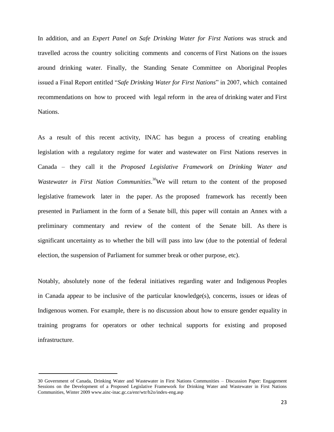In addition, and an *Expert Panel on Safe Drinking Water for First Nations* was struck and travelled across the country soliciting comments and concerns of First Nations on the issues around drinking water. Finally, the Standing Senate Committee on Aboriginal Peoples issued a Final Report entitled "*Safe Drinking Water for First Nations*" in 2007, which contained recommendations on how to proceed with legal reform in the area of drinking water and First Nations.

As a result of this recent activity, INAC has begun a process of creating enabling legislation with a regulatory regime for water and wastewater on First Nations reserves in Canada – they call it the *Proposed Legislative Framework on Drinking Water and*  Wastewater in First Nation Communities.<sup>30</sup>We will return to the content of the proposed legislative framework later in the paper. As the proposed framework has recently been presented in Parliament in the form of a Senate bill, this paper will contain an Annex with a preliminary commentary and review of the content of the Senate bill. As there is significant uncertainty as to whether the bill will pass into law (due to the potential of federal election, the suspension of Parliament for summer break or other purpose, etc).

Notably, absolutely none of the federal initiatives regarding water and Indigenous Peoples in Canada appear to be inclusive of the particular knowledge(s), concerns, issues or ideas of Indigenous women. For example, there is no discussion about how to ensure gender equality in training programs for operators or other technical supports for existing and proposed infrastructure.

<sup>30</sup> Government of Canada, Drinking Water and Wastewater in First Nations Communities – Discussion Paper: Engagement Sessions on the Development of a Proposed Legislative Framework for Drinking Water and Wastewater in First Nations Communities, Winter 2009 www.ainc-inac.gc.ca/enr/wtr/h2o/index-eng.asp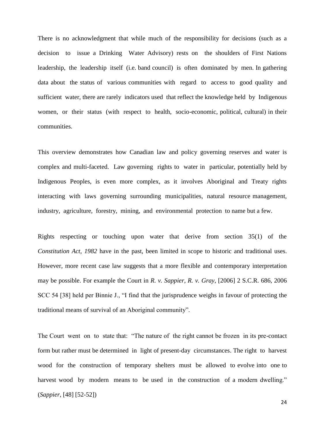There is no acknowledgment that while much of the responsibility for decisions (such as a decision to issue a Drinking Water Advisory) rests on the shoulders of First Nations leadership, the leadership itself (i.e. band council) is often dominated by men. In gathering data about the status of various communities with regard to access to good quality and sufficient water, there are rarely indicators used that reflect the knowledge held by Indigenous women, or their status (with respect to health, socio-economic, political, cultural) in their communities.

This overview demonstrates how Canadian law and policy governing reserves and water is complex and multi-faceted. Law governing rights to water in particular, potentially held by Indigenous Peoples, is even more complex, as it involves Aboriginal and Treaty rights interacting with laws governing surrounding municipalities, natural resource management, industry, agriculture, forestry, mining, and environmental protection to name but a few.

Rights respecting or touching upon water that derive from section 35(1) of the *Constitution Act, 1982* have in the past, been limited in scope to historic and traditional uses. However, more recent case law suggests that a more flexible and contemporary interpretation may be possible. For example the Court in *R. v. Sappier, R. v. Gray*, [2006] 2 S.C.R. 686, 2006 SCC 54 [38] held per Binnie J., "I find that the jurisprudence weighs in favour of protecting the traditional means of survival of an Aboriginal community".

The Court went on to state that: "The nature of the right cannot be frozen in its pre-contact form but rather must be determined in light of present-day circumstances. The right to harvest wood for the construction of temporary shelters must be allowed to evolve into one to harvest wood by modern means to be used in the construction of a modern dwelling." (*Sappier*, [48] [52-52])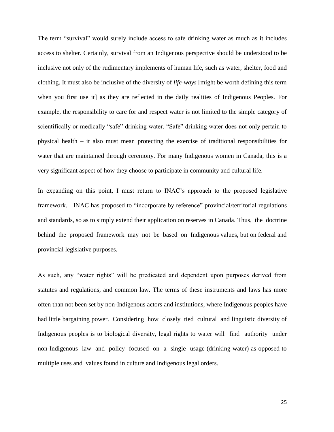The term "survival" would surely include access to safe drinking water as much as it includes access to shelter. Certainly, survival from an Indigenous perspective should be understood to be inclusive not only of the rudimentary implements of human life, such as water, shelter, food and clothing. It must also be inclusive of the diversity of *life-ways* [might be worth defining this term when you first use it] as they are reflected in the daily realities of Indigenous Peoples. For example, the responsibility to care for and respect water is not limited to the simple category of scientifically or medically "safe" drinking water. "Safe" drinking water does not only pertain to physical health – it also must mean protecting the exercise of traditional responsibilities for water that are maintained through ceremony. For many Indigenous women in Canada, this is a very significant aspect of how they choose to participate in community and cultural life.

In expanding on this point, I must return to INAC's approach to the proposed legislative framework. INAC has proposed to "incorporate by reference" provincial/territorial regulations and standards, so as to simply extend their application on reserves in Canada. Thus, the doctrine behind the proposed framework may not be based on Indigenous values, but on federal and provincial legislative purposes.

As such, any "water rights" will be predicated and dependent upon purposes derived from statutes and regulations, and common law. The terms of these instruments and laws has more often than not been set by non-Indigenous actors and institutions, where Indigenous peoples have had little bargaining power. Considering how closely tied cultural and linguistic diversity of Indigenous peoples is to biological diversity, legal rights to water will find authority under non-Indigenous law and policy focused on a single usage (drinking water) as opposed to multiple uses and values found in culture and Indigenous legal orders.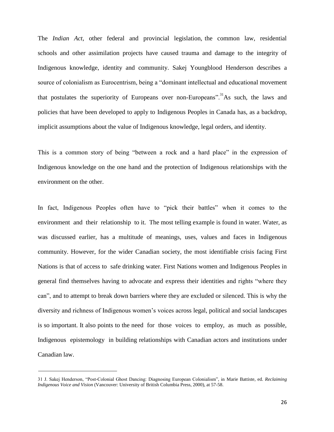The *Indian Act*, other federal and provincial legislation, the common law, residential schools and other assimilation projects have caused trauma and damage to the integrity of Indigenous knowledge, identity and community. Sakej Youngblood Henderson describes a source of colonialism as Eurocentrism, being a "dominant intellectual and educational movement that postulates the superiority of Europeans over non-Europeans". As such, the laws and policies that have been developed to apply to Indigenous Peoples in Canada has, as a backdrop, implicit assumptions about the value of Indigenous knowledge, legal orders, and identity.

This is a common story of being "between a rock and a hard place" in the expression of Indigenous knowledge on the one hand and the protection of Indigenous relationships with the environment on the other.

In fact, Indigenous Peoples often have to "pick their battles" when it comes to the environment and their relationship to it. The most telling example is found in water. Water, as was discussed earlier, has a multitude of meanings, uses, values and faces in Indigenous community. However, for the wider Canadian society, the most identifiable crisis facing First Nations is that of access to safe drinking water. First Nations women and Indigenous Peoples in general find themselves having to advocate and express their identities and rights "where they can", and to attempt to break down barriers where they are excluded or silenced. This is why the diversity and richness of Indigenous women's voices across legal, political and social landscapes is so important. It also points to the need for those voices to employ, as much as possible, Indigenous epistemology in building relationships with Canadian actors and institutions under Canadian law.

<sup>31</sup> J. Sakej Henderson, "Post-Colonial Ghost Dancing: Diagnosing European Colonialism", in Marie Battiste, ed. *Reclaiming Indigenous Voice and Vision* (Vancouver: University of British Columbia Press, 2000), at 57-58.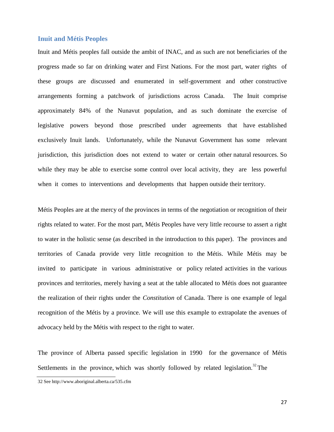### <span id="page-26-0"></span>**Inuit and Métis Peoples**

Inuit and Métis peoples fall outside the ambit of INAC, and as such are not beneficiaries of the progress made so far on drinking water and First Nations. For the most part, water rights of these groups are discussed and enumerated in self-government and other constructive arrangements forming a patchwork of jurisdictions across Canada. The Inuit comprise approximately 84% of the Nunavut population, and as such dominate the exercise of legislative powers beyond those prescribed under agreements that have established exclusively Inuit lands. Unfortunately, while the Nunavut Government has some relevant jurisdiction, this jurisdiction does not extend to water or certain other natural resources. So while they may be able to exercise some control over local activity, they are less powerful when it comes to interventions and developments that happen outside their territory.

Métis Peoples are at the mercy of the provinces in terms of the negotiation or recognition of their rights related to water. For the most part, Métis Peoples have very little recourse to assert a right to water in the holistic sense (as described in the introduction to this paper). The provinces and territories of Canada provide very little recognition to the Métis. While Métis may be invited to participate in various administrative or policy related activities in the various provinces and territories, merely having a seat at the table allocated to Métis does not guarantee the realization of their rights under the *Constitution* of Canada. There is one example of legal recognition of the Métis by a province. We will use this example to extrapolate the avenues of advocacy held by the Métis with respect to the right to water.

The province of Alberta passed specific legislation in 1990 for the governance of Métis Settlements in the province, which was shortly followed by related legislation.<sup>32</sup>The

<sup>32</sup> See http://www.aboriginal.alberta.ca/535.cfm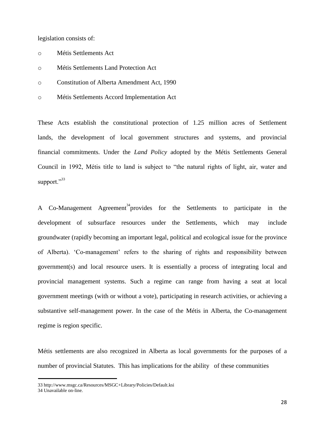legislation consists of:

- o Métis Settlements Act
- o Métis Settlements Land Protection Act
- o Constitution of Alberta Amendment Act, 1990
- o Métis Settlements Accord Implementation Act

These Acts establish the constitutional protection of 1.25 million acres of Settlement lands, the development of local government structures and systems, and provincial financial commitments. Under the *Land Policy* adopted by the Métis Settlements General Council in 1992, Métis title to land is subject to "the natural rights of light, air, water and support."33

A Co-Management Agreement<sup>34</sup> provides for the Settlements to participate in the development of subsurface resources under the Settlements, which may include groundwater (rapidly becoming an important legal, political and ecological issue for the province of Alberta). ‗Co-management' refers to the sharing of rights and responsibility between government(s) and local resource users. It is essentially a process of integrating local and provincial management systems. Such a regime can range from having a seat at local government meetings (with or without a vote), participating in research activities, or achieving a substantive self-management power. In the case of the Métis in Alberta, the Co-management regime is region specific.

Métis settlements are also recognized in Alberta as local governments for the purposes of a number of provincial Statutes. This has implications for the ability of these communities

<sup>33</sup> http://www.msgc.ca/Resources/MSGC+Library/Policies/Default.ksi

<sup>34</sup> Unavailable on-line.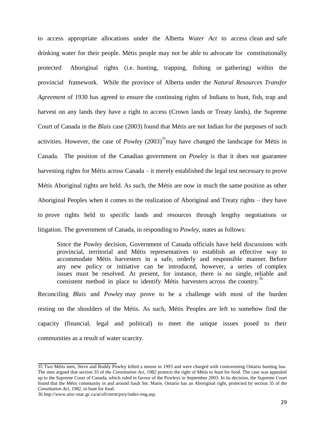to access appropriate allocations under the Alberta *Water Act* to access clean and safe drinking water for their people. Métis people may not be able to advocate for constitutionally protected Aboriginal rights (i.e. hunting, trapping, fishing or gathering) within the provincial framework. While the province of Alberta under the *Natural Resources Transfer Agreement* of 1930 has agreed to ensure the continuing rights of Indians to hunt, fish, trap and harvest on any lands they have a right to access (Crown lands or Treaty lands), the Supreme Court of Canada in the *Blais* case (2003) found that Métis are not Indian for the purposes of such activities. However, the case of *Powley* (2003)<sup>35</sup> may have changed the landscape for Métis in Canada. The position of the Canadian government on *Powley* is that it does not guarantee harvesting rights for Métis across Canada – it merely established the legal test necessary to prove Métis Aboriginal rights are held. As such, the Métis are now in much the same position as other Aboriginal Peoples when it comes to the realization of Aboriginal and Treaty rights – they have to prove rights held to specific lands and resources through lengthy negotiations or litigation. The government of Canada, in responding to *Powley*, states as follows:

Since the *Powley* decision, Government of Canada officials have held discussions with provincial, territorial and Métis representatives to establish an effective way to accommodate Métis harvesters in a safe, orderly and responsible manner. Before any new policy or initiative can be introduced, however, a series of complex issues must be resolved. At present, for instance, there is no single, reliable and consistent method in place to identify Métis harvesters across the country.<sup>36</sup>

Reconciling *Blais* and *Powley* may prove to be a challenge with most of the burden resting on the shoulders of the Métis. As such, Métis Peoples are left to somehow find the capacity (financial, legal and political) to meet the unique issues posed to their communities as a result of water scarcity.

<sup>35</sup> Two Métis men, Steve and Roddy Powley killed a moose in 1993 and were charged with contravening Ontario hunting law. The men argued that section 35 of the *Constitution Act, 1982* protects the right of Métis to hunt for food. The case was appealed up to the Supreme Court of Canada, which ruled in favour of the Powleys in September 2003. In its decision, the Supreme Court found that the Métis community in and around Sault Ste. Marie, Ontario has an Aboriginal right, protected by section 35 of the *Constitution Act, 1982*, to hunt for food.

<sup>3</sup>[6 http://www.ainc-inac.gc.ca/ai/ofi/mrm/pwy/index-eng.asp.](http://www.ainc-inac.gc.ca/ai/ofi/mrm/pwy/index-eng.asp)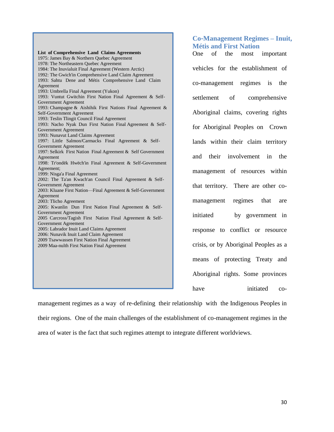**List of Comprehensive Land Claims Agreements** 1975: James Bay & Northern Quebec Agreement 1978: The Northeastern Quebec Agreement 1984: The Inuvialuit Final Agreement (Western Arctic) 1992: The Gwich'in Comprehensive Land Claim Agreement 1993: Sahtu Dene and Métis Comprehensive Land Claim Agreement 1993: Umbrella Final Agreement (Yukon) 1993: Vuntut Gwitchin First Nation Final Agreement & Self-Government Agreement 1993: Champagne & Aishihik First Nations Final Agreement & Self-Government Agreement 1993: Teslin Tlingit Council Final Agreement 1993: Nacho Nyak Dun First Nation Final Agreement & Self-Government Agreement 1993: Nunavut Land Claims Agreement 1997: Little Salmon/Carmacks Final Agreement & Self-Government Agreement 1997: Selkirk First Nation Final Agreement & Self Government Agreement 1998: Tr'ondëk Hwëch'in Final Agreement & Self-Government Agreement; 1999: Nisga'a Final Agreement 2002: The Ta'an Kwach'an Council Final Agreement & Self-Government Agreement 2003: Kluane First Nation—Final Agreement & Self-Government Agreement 2003: Tlicho Agreement 2005: Kwanlin Dun First Nation Final Agreement & Self-Government Agreement 2005 Carcross/Tagish First Nation Final Agreement & Self-Government Agreement 2005: Labrador Inuit Land Claims Agreement 2006: Nunavik Inuit Land Claim Agreement 2009 Tsawwassen First Nation Final Agreement 2009 Maa-nulth First Nation Final Agreement

# <span id="page-29-1"></span><span id="page-29-0"></span>**Co‐Management Regimes – Inuit, Métis and First Nation**

One of the most important vehicles for the establishment of co-management regimes is the settlement of comprehensive Aboriginal claims, covering rights for Aboriginal Peoples on Crown lands within their claim territory and their involvement in the management of resources within that territory. There are other comanagement regimes that are initiated by government in response to conflict or resource crisis, or by Aboriginal Peoples as a means of protecting Treaty and Aboriginal rights. Some provinces have initiated co-

management regimes as a way of re-defining their relationship with the Indigenous Peoples in their regions. One of the main challenges of the establishment of co-management regimes in the area of water is the fact that such regimes attempt to integrate different worldviews.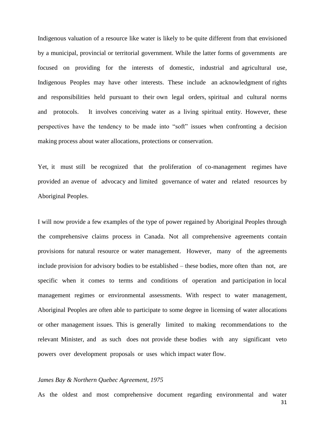Indigenous valuation of a resource like water is likely to be quite different from that envisioned by a municipal, provincial or territorial government. While the latter forms of governments are focused on providing for the interests of domestic, industrial and agricultural use, Indigenous Peoples may have other interests. These include an acknowledgment of rights and responsibilities held pursuant to their own legal orders, spiritual and cultural norms and protocols. It involves conceiving water as a living spiritual entity. However, these perspectives have the tendency to be made into "soft" issues when confronting a decision making process about water allocations, protections or conservation.

Yet, it must still be recognized that the proliferation of co-management regimes have provided an avenue of advocacy and limited governance of water and related resources by Aboriginal Peoples.

I will now provide a few examples of the type of power regained by Aboriginal Peoples through the comprehensive claims process in Canada. Not all comprehensive agreements contain provisions for natural resource or water management. However, many of the agreements include provision for advisory bodies to be established – these bodies, more often than not, are specific when it comes to terms and conditions of operation and participation in local management regimes or environmental assessments. With respect to water management, Aboriginal Peoples are often able to participate to some degree in licensing of water allocations or other management issues. This is generally limited to making recommendations to the relevant Minister, and as such does not provide these bodies with any significant veto powers over development proposals or uses which impact water flow.

#### *James Bay & Northern Quebec Agreement, 1975*

As the oldest and most comprehensive document regarding environmental and water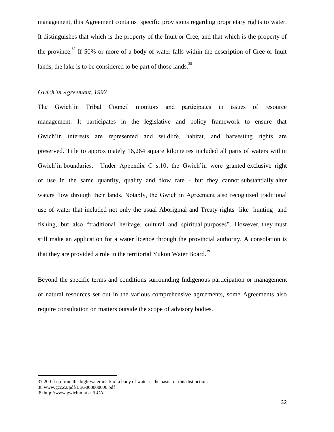management, this Agreement contains specific provisions regarding proprietary rights to water. It distinguishes that which is the property of the Inuit or Cree, and that which is the property of the province.<sup>37</sup> If 50% or more of a body of water falls within the description of Cree or Inuit lands, the lake is to be considered to be part of those lands.<sup>38</sup>

#### *Gwich'in Agreement, 1992*

The Gwich'in Tribal Council monitors and participates in issues of resource management. It participates in the legislative and policy framework to ensure that Gwich'in interests are represented and wildlife, habitat, and harvesting rights are preserved. Title to approximately 16,264 square kilometres included all parts of waters within Gwich'in boundaries. Under Appendix C s.10, the Gwich'in were granted exclusive right of use in the same quantity, quality and flow rate - but they cannot substantially alter waters flow through their lands. Notably, the Gwich'in Agreement also recognized traditional use of water that included not only the usual Aboriginal and Treaty rights like hunting and fishing, but also "traditional heritage, cultural and spiritual purposes". However, they must still make an application for a water licence through the provincial authority. A consolation is that they are provided a role in the territorial Yukon Water Board.<sup>39</sup>

Beyond the specific terms and conditions surrounding Indigenous participation or management of natural resources set out in the various comprehensive agreements, some Agreements also require consultation on matters outside the scope of advisory bodies.

<sup>37 200</sup> ft up from the high-water mark of a body of water is the basis for this distinction.

<sup>38</sup> www.gcc.ca/pdf/LEG000000006.pdf

<sup>39</sup> http://www.gwichin.nt.ca/LCA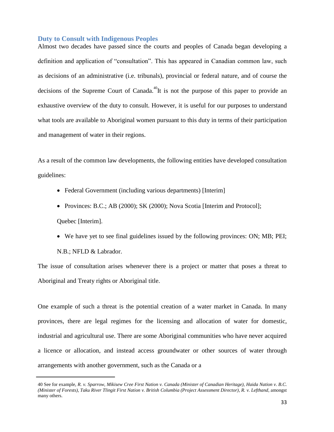#### <span id="page-32-0"></span>**Duty to Consult with Indigenous Peoples**

Almost two decades have passed since the courts and peoples of Canada began developing a definition and application of "consultation". This has appeared in Canadian common law, such as decisions of an administrative (i.e. tribunals), provincial or federal nature, and of course the decisions of the Supreme Court of Canada.<sup>40</sup>It is not the purpose of this paper to provide an exhaustive overview of the duty to consult. However, it is useful for our purposes to understand what tools are available to Aboriginal women pursuant to this duty in terms of their participation and management of water in their regions.

As a result of the common law developments, the following entities have developed consultation guidelines:

- Federal Government (including various departments) [Interim]
- Provinces: B.C.; AB (2000); SK (2000); Nova Scotia [Interim and Protocol]; Quebec [Interim].
- We have yet to see final guidelines issued by the following provinces: ON; MB; PEI;

N.B.; NFLD & Labrador.

The issue of consultation arises whenever there is a project or matter that poses a threat to Aboriginal and Treaty rights or Aboriginal title.

One example of such a threat is the potential creation of a water market in Canada. In many provinces, there are legal regimes for the licensing and allocation of water for domestic, industrial and agricultural use. There are some Aboriginal communities who have never acquired a licence or allocation, and instead access groundwater or other sources of water through arrangements with another government, such as the Canada or a

<sup>40</sup> See for example, *R. v. Sparrow, Mikisew Cree First Nation v. Canada (Minister of Canadian Heritage), Haida Nation v. B.C. (Minister of Forests), Taku River Tlingit First Nation v. British Columbia (Project Assessment Director), R. v. Lefthand*, amongst many others.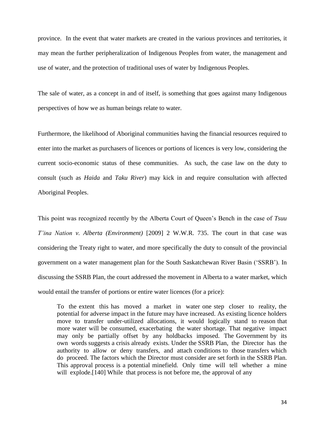province. In the event that water markets are created in the various provinces and territories, it may mean the further peripheralization of Indigenous Peoples from water, the management and use of water, and the protection of traditional uses of water by Indigenous Peoples.

The sale of water, as a concept in and of itself, is something that goes against many Indigenous perspectives of how we as human beings relate to water.

Furthermore, the likelihood of Aboriginal communities having the financial resources required to enter into the market as purchasers of licences or portions of licences is very low, considering the current socio-economic status of these communities. As such, the case law on the duty to consult (such as *Haida* and *Taku River*) may kick in and require consultation with affected Aboriginal Peoples.

This point was recognized recently by the Alberta Court of Queen's Bench in the case of *Tsuu T'ina Nation v. Alberta (Environment)* [2009] 2 W.W.R. 735. The court in that case was considering the Treaty right to water, and more specifically the duty to consult of the provincial government on a water management plan for the South Saskatchewan River Basin ('SSRB'). In discussing the SSRB Plan, the court addressed the movement in Alberta to a water market, which would entail the transfer of portions or entire water licences (for a price):

To the extent this has moved a market in water one step closer to reality, the potential for adverse impact in the future may have increased. As existing licence holders move to transfer under-utilized allocations, it would logically stand to reason that more water will be consumed, exacerbating the water shortage. That negative impact may only be partially offset by any holdbacks imposed. The Government by its own words suggests a crisis already exists. Under the SSRB Plan, the Director has the authority to allow or deny transfers, and attach conditions to those transfers which do proceed. The factors which the Director must consider are set forth in the SSRB Plan. This approval process is a potential minefield. Only time will tell whether a mine will explode.<sup>[140]</sup> While that process is not before me, the approval of any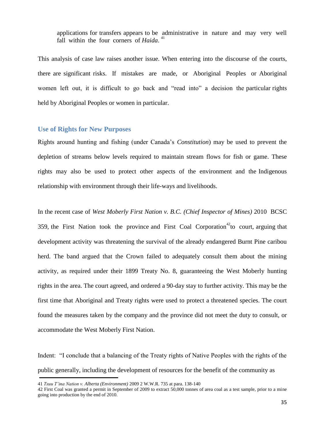applications for transfers appears to be administrative in nature and may very well fall within the four corners of *Haida*. 41

This analysis of case law raises another issue. When entering into the discourse of the courts, there are significant risks. If mistakes are made, or Aboriginal Peoples or Aboriginal women left out, it is difficult to go back and "read into" a decision the particular rights held by Aboriginal Peoples or women in particular.

## <span id="page-34-0"></span>**Use of Rights for New Purposes**

Rights around hunting and fishing (under Canada's *Constitution*) may be used to prevent the depletion of streams below levels required to maintain stream flows for fish or game. These rights may also be used to protect other aspects of the environment and the Indigenous relationship with environment through their life-ways and livelihoods.

In the recent case of *West Moberly First Nation v. B.C. (Chief Inspector of Mines)* 2010 BCSC 359, the First Nation took the province and First Coal Corporation<sup>42</sup> to court, arguing that development activity was threatening the survival of the already endangered Burnt Pine caribou herd. The band argued that the Crown failed to adequately consult them about the mining activity, as required under their 1899 Treaty No. 8, guaranteeing the West Moberly hunting rights in the area. The court agreed, and ordered a 90-day stay to further activity. This may be the first time that Aboriginal and Treaty rights were used to protect a threatened species. The court found the measures taken by the company and the province did not meet the duty to consult, or accommodate the West Moberly First Nation.

Indent: "I conclude that a balancing of the Treaty rights of Native Peoples with the rights of the public generally, including the development of resources for the benefit of the community as

<sup>41</sup> *Tsuu T'ina Nation v. Alberta (Environment)* 2009 2 W.W.R. 735 at para. 138-140

<sup>42</sup> First Coal was granted a permit in September of 2009 to extract 50,000 tonnes of area coal as a test sample, prior to a mine going into production by the end of 2010.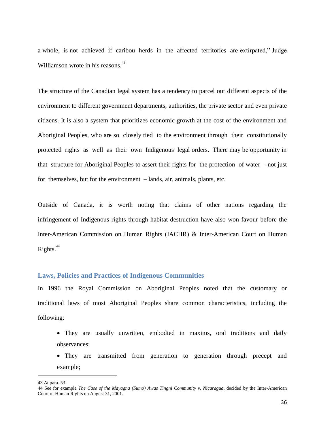a whole, is not achieved if caribou herds in the affected territories are extirpated." Judge Williamson wrote in his reasons.<sup>43</sup>

The structure of the Canadian legal system has a tendency to parcel out different aspects of the environment to different government departments, authorities, the private sector and even private citizens. It is also a system that prioritizes economic growth at the cost of the environment and Aboriginal Peoples, who are so closely tied to the environment through their constitutionally protected rights as well as their own Indigenous legal orders. There may be opportunity in that structure for Aboriginal Peoples to assert their rights for the protection of water - not just for themselves, but for the environment – lands, air, animals, plants, etc.

Outside of Canada, it is worth noting that claims of other nations regarding the infringement of Indigenous rights through habitat destruction have also won favour before the Inter-American Commission on Human Rights (IACHR) & Inter-American Court on Human Rights.<sup>44</sup>

#### <span id="page-35-0"></span>**Laws, Policies and Practices of Indigenous Communities**

In 1996 the Royal Commission on Aboriginal Peoples noted that the customary or traditional laws of most Aboriginal Peoples share common characteristics, including the following:

- They are usually unwritten, embodied in maxims, oral traditions and daily observances;
- They are transmitted from generation to generation through precept and example;

<sup>43</sup> At para. 53

<sup>44</sup> See for example *The Case of the Mayagna (Sumo) Awas Tingni Community v. Nicaragua*, decided by the Inter-American Court of Human Rights on August 31, 2001.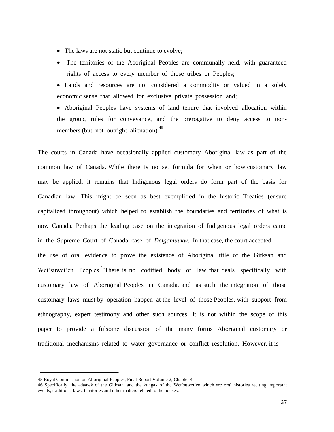- The laws are not static but continue to evolve:
- The territories of the Aboriginal Peoples are communally held, with guaranteed rights of access to every member of those tribes or Peoples;

Lands and resources are not considered a commodity or valued in a solely economic sense that allowed for exclusive private possession and;

Aboriginal Peoples have systems of land tenure that involved allocation within the group, rules for conveyance, and the prerogative to deny access to nonmembers (but not outright alienation).<sup>45</sup>

The courts in Canada have occasionally applied customary Aboriginal law as part of the common law of Canada. While there is no set formula for when or how customary law may be applied, it remains that Indigenous legal orders do form part of the basis for Canadian law. This might be seen as best exemplified in the historic Treaties (ensure capitalized throughout) which helped to establish the boundaries and territories of what is now Canada. Perhaps the leading case on the integration of Indigenous legal orders came in the Supreme Court of Canada case of *Delgamuukw*. In that case, the court accepted the use of oral evidence to prove the existence of Aboriginal title of the Gitksan and Wet'suwet'en Peoples.<sup>46</sup>There is no codified body of law that deals specifically with customary law of Aboriginal Peoples in Canada, and as such the integration of those customary laws must by operation happen at the level of those Peoples, with support from ethnography, expert testimony and other such sources. It is not within the scope of this paper to provide a fulsome discussion of the many forms Aboriginal customary or traditional mechanisms related to water governance or conflict resolution. However, it is

<sup>45</sup> Royal Commission on Aboriginal Peoples, Final Report Volume 2, Chapter 4

<sup>46</sup> Specifically, the adaawk of the Gitksan, and the kungax of the Wet'suwet'en which are oral histories reciting important events, traditions, laws, territories and other matters related to the houses.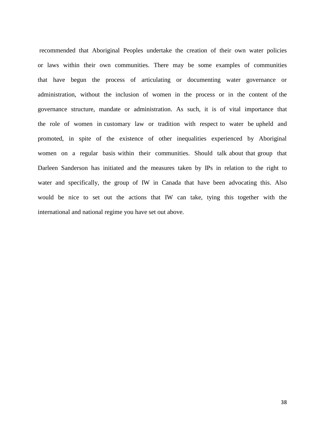recommended that Aboriginal Peoples undertake the creation of their own water policies or laws within their own communities. There may be some examples of communities that have begun the process of articulating or documenting water governance or administration, without the inclusion of women in the process or in the content of the governance structure, mandate or administration. As such, it is of vital importance that the role of women in customary law or tradition with respect to water be upheld and promoted, in spite of the existence of other inequalities experienced by Aboriginal women on a regular basis within their communities. Should talk about that group that Darleen Sanderson has initiated and the measures taken by IPs in relation to the right to water and specifically, the group of IW in Canada that have been advocating this. Also would be nice to set out the actions that IW can take, tying this together with the international and national regime you have set out above.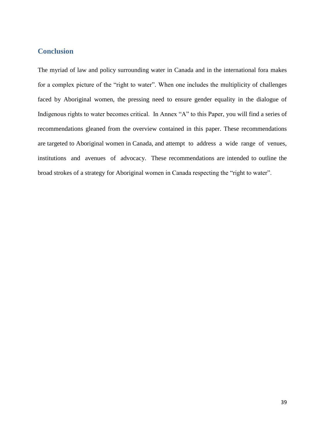# <span id="page-38-0"></span>**Conclusion**

The myriad of law and policy surrounding water in Canada and in the international fora makes for a complex picture of the "right to water". When one includes the multiplicity of challenges faced by Aboriginal women, the pressing need to ensure gender equality in the dialogue of Indigenous rights to water becomes critical. In Annex "A" to this Paper, you will find a series of recommendations gleaned from the overview contained in this paper. These recommendations are targeted to Aboriginal women in Canada, and attempt to address a wide range of venues, institutions and avenues of advocacy. These recommendations are intended to outline the broad strokes of a strategy for Aboriginal women in Canada respecting the "right to water".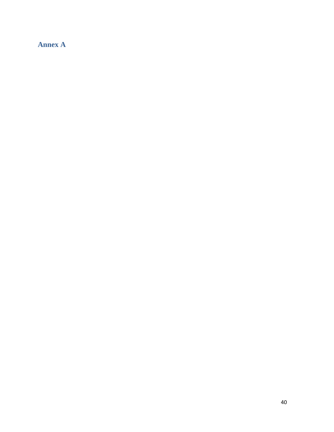# <span id="page-39-0"></span>**Annex A**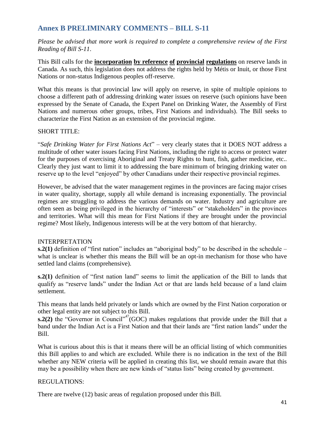# <span id="page-40-0"></span>**Annex B PRELIMINARY COMMENTS – BILL S**‐**11**

*Please be advised that more work is required to complete a comprehensive review of the First Reading of Bill S-11*.

This Bill calls for the **incorporation by reference of provincial regulations** on reserve lands in Canada. As such, this legislation does not address the rights held by Métis or Inuit, or those First Nations or non-status Indigenous peoples off-reserve.

What this means is that provincial law will apply on reserve, in spite of multiple opinions to choose a different path of addressing drinking water issues on reserve (such opinions have been expressed by the Senate of Canada, the Expert Panel on Drinking Water, the Assembly of First Nations and numerous other groups, tribes, First Nations and individuals). The Bill seeks to characterize the First Nation as an extension of the provincial regime.

# SHORT TITLE:

―*Safe Drinking Water for First Nations Act*‖ – very clearly states that it DOES NOT address a multitude of other water issues facing First Nations, including the right to access or protect water for the purposes of exercising Aboriginal and Treaty Rights to hunt, fish, gather medicine, etc.. Clearly they just want to limit it to addressing the bare minimum of bringing drinking water on reserve up to the level "enjoyed" by other Canadians under their respective provincial regimes.

However, be advised that the water management regimes in the provinces are facing major crises in water quality, shortage, supply all while demand is increasing exponentially. The provincial regimes are struggling to address the various demands on water. Industry and agriculture are often seen as being privileged in the hierarchy of "interests" or "stakeholders" in the provinces and territories. What will this mean for First Nations if they are brought under the provincial regime? Most likely, Indigenous interests will be at the very bottom of that hierarchy.

# INTERPRETATION

 $s.2(1)$  definition of "first nation" includes an "aboriginal body" to be described in the schedule – what is unclear is whether this means the Bill will be an opt-in mechanism for those who have settled land claims (comprehensive).

**s.2(1)** definition of "first nation land" seems to limit the application of the Bill to lands that qualify as "reserve lands" under the Indian Act or that are lands held because of a land claim settlement.

This means that lands held privately or lands which are owned by the First Nation corporation or other legal entity are not subject to this Bill.

**s.2(2)** the "Governor in Council"<sup>47</sup>(GOC) makes regulations that provide under the Bill that a band under the Indian Act is a First Nation and that their lands are "first nation lands" under the Bill.

What is curious about this is that it means there will be an official listing of which communities this Bill applies to and which are excluded. While there is no indication in the text of the Bill whether any NEW criteria will be applied in creating this list, we should remain aware that this may be a possibility when there are new kinds of "status lists" being created by government.

## REGULATIONS:

There are twelve (12) basic areas of regulation proposed under this Bill.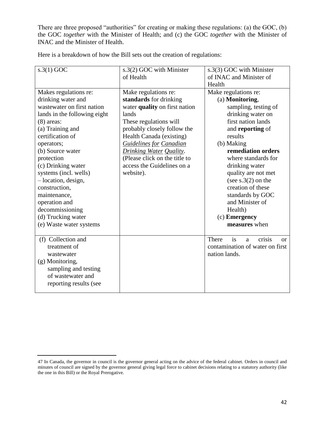There are three proposed "authorities" for creating or making these regulations: (a) the GOC, (b) the GOC *together* with the Minister of Health; and (c) the GOC *together* with the Minister of INAC and the Minister of Health.

| $s.3(1)$ GOC                 | s.3(2) GOC with Minister       | s.3(3) GOC with Minister                    |
|------------------------------|--------------------------------|---------------------------------------------|
|                              | of Health                      | of INAC and Minister of                     |
|                              |                                |                                             |
|                              |                                | Health                                      |
| Makes regulations re:        | Make regulations re:           | Make regulations re:                        |
| drinking water and           | standards for drinking         | (a) Monitoring,                             |
| wastewater on first nation   | water quality on first nation  | sampling, testing of                        |
| lands in the following eight | lands                          | drinking water on                           |
| $(8)$ areas:                 | These regulations will         | first nation lands                          |
| (a) Training and             | probably closely follow the    | and reporting of                            |
| certification of             | Health Canada (existing)       | results                                     |
| operators;                   | <b>Guidelines for Canadian</b> | (b) Making                                  |
| (b) Source water             | <b>Drinking Water Quality.</b> | remediation orders                          |
| protection                   | (Please click on the title to  | where standards for                         |
| (c) Drinking water           | access the Guidelines on a     | drinking water                              |
| systems (incl. wells)        | website).                      | quality are not met                         |
| -location, design,           |                                | (see $s.3(2)$ on the                        |
| construction,                |                                | creation of these                           |
| maintenance,                 |                                | standards by GOC                            |
| operation and                |                                | and Minister of                             |
| decommissioning              |                                | Health)                                     |
| (d) Trucking water           |                                | (c) Emergency                               |
| (e) Waste water systems      |                                | measures when                               |
|                              |                                |                                             |
| (f) Collection and           |                                | crisis<br>is<br>There<br>a<br><sub>or</sub> |
| treatment of                 |                                | contamination of water on first             |
| wastewater                   |                                | nation lands.                               |
| (g) Monitoring,              |                                |                                             |
| sampling and testing         |                                |                                             |
| of wastewater and            |                                |                                             |
| reporting results (see       |                                |                                             |
|                              |                                |                                             |
|                              |                                |                                             |

Here is a breakdown of how the Bill sets out the creation of regulations:

<sup>47</sup> In Canada, the governor in council is the governor general acting on the advice of the federal cabinet. Orders in council and minutes of council are signed by the governor general giving legal force to cabinet decisions relating to a statutory authority (like the one in this Bill) or the Royal Prerogative.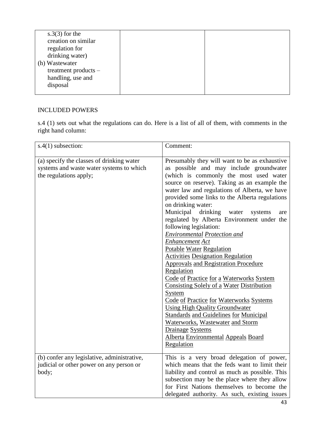# INCLUDED POWERS

s.4 (1) sets out what the regulations can do. Here is a list of all of them, with comments in the right hand column:

| $s.4(1)$ subsection:                                                                                            | Comment:                                                                                                                                                                                                                                                                                                                                                                                                                                                                                                                                                                                                                                                                                                                                                                                                                                                                                                                                                                                                                |
|-----------------------------------------------------------------------------------------------------------------|-------------------------------------------------------------------------------------------------------------------------------------------------------------------------------------------------------------------------------------------------------------------------------------------------------------------------------------------------------------------------------------------------------------------------------------------------------------------------------------------------------------------------------------------------------------------------------------------------------------------------------------------------------------------------------------------------------------------------------------------------------------------------------------------------------------------------------------------------------------------------------------------------------------------------------------------------------------------------------------------------------------------------|
| (a) specify the classes of drinking water<br>systems and waste water systems to which<br>the regulations apply; | Presumably they will want to be as exhaustive<br>as possible and may include groundwater<br>(which is commonly the most used water<br>source on reserve). Taking as an example the<br>water law and regulations of Alberta, we have<br>provided some links to the Alberta regulations<br>on drinking water:<br>Municipal<br>drinking<br>water<br>systems<br>are<br>regulated by Alberta Environment under the<br>following legislation:<br><b>Environmental Protection and</b><br><b>Enhancement Act</b><br>Potable Water Regulation<br><b>Activities Designation Regulation</b><br><b>Approvals and Registration Procedure</b><br>Regulation<br>Code of Practice for a Waterworks System<br>Consisting Solely of a Water Distribution<br>System<br><b>Code of Practice for Waterworks Systems</b><br><b>Using High Quality Groundwater</b><br><b>Standards and Guidelines for Municipal</b><br>Waterworks, Wastewater and Storm<br><b>Drainage Systems</b><br><b>Alberta Environmental Appeals Board</b><br>Regulation |
| (b) confer any legislative, administrative,<br>judicial or other power on any person or<br>body;                | This is a very broad delegation of power,<br>which means that the feds want to limit their<br>liability and control as much as possible. This<br>subsection may be the place where they allow<br>for First Nations themselves to become the<br>delegated authority. As such, existing issues                                                                                                                                                                                                                                                                                                                                                                                                                                                                                                                                                                                                                                                                                                                            |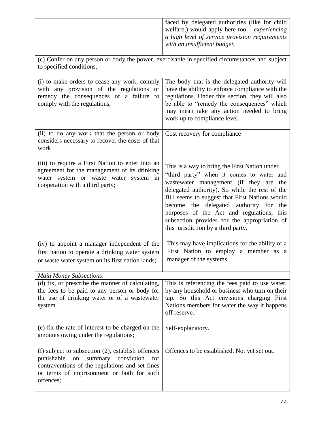|                                                                                                                                                                                                                 | faced by delegated authorities (like for child<br>welfare,) would apply here too $-$ <i>experiencing</i><br>a high level of service provision requirements<br>with an insufficient budget.                                                                                                                                                                                                                                  |  |
|-----------------------------------------------------------------------------------------------------------------------------------------------------------------------------------------------------------------|-----------------------------------------------------------------------------------------------------------------------------------------------------------------------------------------------------------------------------------------------------------------------------------------------------------------------------------------------------------------------------------------------------------------------------|--|
| (c) Confer on any person or body the power, exercisable in specified circumstances and subject<br>to specified conditions,                                                                                      |                                                                                                                                                                                                                                                                                                                                                                                                                             |  |
| (i) to make orders to cease any work, comply<br>with any provision of the regulations or<br>remedy the consequences of a failure<br>to<br>comply with the regulations,                                          | The body that is the delegated authority will<br>have the ability to enforce compliance with the<br>regulations. Under this section, they will also<br>be able to "remedy the consequences" which<br>may mean take any action needed to bring<br>work up to compliance level.                                                                                                                                               |  |
| (ii) to do any work that the person or body<br>considers necessary to recover the costs of that<br>work                                                                                                         | Cost recovery for compliance                                                                                                                                                                                                                                                                                                                                                                                                |  |
| (iii) to require a First Nation to enter into an<br>agreement for the management of its drinking<br>water system or waste water system in<br>cooperation with a third party;                                    | This is a way to bring the First Nation under<br>"third party" when it comes to water and<br>wastewater management (if they are the<br>delegated authority). So while the rest of the<br>Bill seems to suggest that First Nations would<br>the delegated authority for<br>become<br>the<br>purposes of the Act and regulations, this<br>subsection provides for the appropriation of<br>this jurisdiction by a third party. |  |
| (iv) to appoint a manager independent of the<br>first nation to operate a drinking water system<br>or waste water system on its first nation lands;                                                             | This may have implications for the ability of a<br>First Nation to employ a member as a<br>manager of the systems                                                                                                                                                                                                                                                                                                           |  |
| <b>Main Money Subsections:</b>                                                                                                                                                                                  |                                                                                                                                                                                                                                                                                                                                                                                                                             |  |
| (d) fix, or prescribe the manner of calculating,<br>the fees to be paid to any person or body for<br>the use of drinking water or of a wastewater<br>system                                                     | This is referencing the fees paid to use water,<br>by any household or business who turn on their<br>tap. So this Act envisions charging First<br>Nations members for water the way it happens<br>off reserve.                                                                                                                                                                                                              |  |
| (e) fix the rate of interest to be charged on the<br>amounts owing under the regulations;                                                                                                                       | Self-explanatory.                                                                                                                                                                                                                                                                                                                                                                                                           |  |
| (f) subject to subsection (2), establish offences<br>summary conviction<br>punishable<br>on<br>for<br>contraventions of the regulations and set fines<br>or terms of imprisonment or both for such<br>offences; | Offences to be established. Not yet set out.                                                                                                                                                                                                                                                                                                                                                                                |  |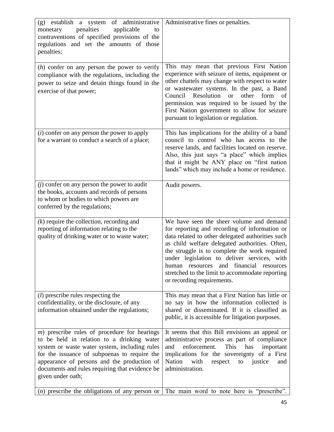| (g) establish a system of administrative<br>penalties<br>applicable<br>monetary<br>to<br>contraventions of specified provisions of the<br>regulations and set the amounts of those<br>penalties;                                                                                                                     | Administrative fines or penalties.                                                                                                                                                                                                                                                                                                                                                                                             |
|----------------------------------------------------------------------------------------------------------------------------------------------------------------------------------------------------------------------------------------------------------------------------------------------------------------------|--------------------------------------------------------------------------------------------------------------------------------------------------------------------------------------------------------------------------------------------------------------------------------------------------------------------------------------------------------------------------------------------------------------------------------|
| $(h)$ confer on any person the power to verify<br>compliance with the regulations, including the<br>power to seize and detain things found in the<br>exercise of that power;                                                                                                                                         | This may mean that previous First Nation<br>experience with seizure of items, equipment or<br>other chattels may change with respect to water<br>or wastewater systems. In the past, a Band<br>Resolution<br>Council<br>other<br>form<br><b>or</b><br>of<br>permission was required to be issued by the<br>First Nation government to allow for seizure<br>pursuant to legislation or regulation.                              |
| $(i)$ confer on any person the power to apply<br>for a warrant to conduct a search of a place;                                                                                                                                                                                                                       | This has implications for the ability of a band<br>council to control who has access to the<br>reserve lands, and facilities located on reserve.<br>Also, this just says "a place" which implies<br>that it might be ANY place on "first nation<br>lands" which may include a home or residence.                                                                                                                               |
| $(j)$ confer on any person the power to audit<br>the books, accounts and records of persons<br>to whom or bodies to which powers are<br>conferred by the regulations;                                                                                                                                                | Audit powers.                                                                                                                                                                                                                                                                                                                                                                                                                  |
| $(k)$ require the collection, recording and<br>reporting of information relating to the<br>quality of drinking water or to waste water;                                                                                                                                                                              | We have seen the sheer volume and demand<br>for reporting and recording of information or<br>data related to other delegated authorities such<br>as child welfare delegated authorities. Often,<br>the struggle is to complete the work required<br>under legislation to deliver services, with<br>and financial resources<br>human resources<br>stretched to the limit to accommodate reporting<br>or recording requirements. |
| ( <i>l</i> ) prescribe rules respecting the<br>confidentiality, or the disclosure, of any<br>information obtained under the regulations;                                                                                                                                                                             | This may mean that a First Nation has little or<br>no say in how the information collected is<br>shared or disseminated. If it is classified as<br>public, it is accessible for litigation purposes.                                                                                                                                                                                                                           |
| $m$ ) prescribe rules of procedure for hearings<br>to be held in relation to a drinking water<br>system or waste water system, including rules<br>for the issuance of subpoenas to require the<br>appearance of persons and the production of<br>documents and rules requiring that evidence be<br>given under oath; | It seems that this Bill envisions an appeal or<br>administrative process as part of compliance<br>enforcement.<br>This<br>and<br>has<br>important<br>implications for the sovereignty of a First<br>Nation<br>with<br>respect<br>justice<br>to<br>and<br>administration.                                                                                                                                                       |
|                                                                                                                                                                                                                                                                                                                      | ( <i>n</i> ) prescribe the obligations of any person or The main word to note here is "prescribe".                                                                                                                                                                                                                                                                                                                             |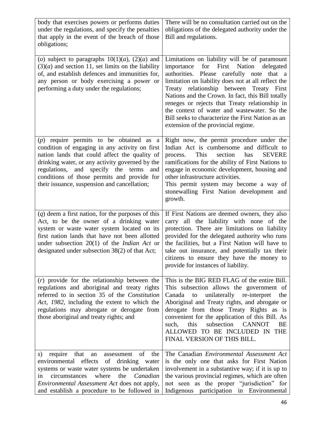| body that exercises powers or performs duties<br>under the regulations, and specify the penalties<br>that apply in the event of the breach of those<br>obligations;                                                                                                                                                                         | There will be no consultation carried out on the<br>obligations of the delegated authority under the<br>Bill and regulations.                                                                                                                                                                                                                                                                                                                                                                     |
|---------------------------------------------------------------------------------------------------------------------------------------------------------------------------------------------------------------------------------------------------------------------------------------------------------------------------------------------|---------------------------------------------------------------------------------------------------------------------------------------------------------------------------------------------------------------------------------------------------------------------------------------------------------------------------------------------------------------------------------------------------------------------------------------------------------------------------------------------------|
| (o) subject to paragraphs $10(1)(a)$ , $(2)(a)$ and<br>$(3)(a)$ and section 11, set limits on the liability<br>of, and establish defences and immunities for,<br>any person or body exercising a power or<br>performing a duty under the regulations;                                                                                       | Limitations on liability will be of paramount<br>for<br>First Nation<br>importance<br>delegated<br>authorities. Please carefully note that a<br>limitation on liability does not at all reflect the<br>Treaty relationship between Treaty First<br>Nations and the Crown. In fact, this Bill totally<br>reneges or rejects that Treaty relationship in<br>the context of water and wastewater. So the<br>Bill seeks to characterize the First Nation as an<br>extension of the provincial regime. |
| $(p)$ require permits to be obtained as a<br>condition of engaging in any activity on first<br>nation lands that could affect the quality of<br>drinking water, or any activity governed by the<br>regulations, and specify the terms<br>and<br>conditions of those permits and provide for<br>their issuance, suspension and cancellation; | Right now, the permit procedure under the<br>Indian Act is cumbersome and difficult to<br>This<br><b>SEVERE</b><br>section<br>has<br>process.<br>ramifications for the ability of First Nations to<br>engage in economic development, housing and<br>other infrastructure activities.<br>This permit system may become a way of<br>stonewalling First Nation development and<br>growth.                                                                                                           |
| $(q)$ deem a first nation, for the purposes of this<br>Act, to be the owner of a drinking water<br>system or waste water system located on its<br>first nation lands that have not been allotted<br>under subsection $20(1)$ of the <i>Indian Act</i> or<br>designated under subsection 38(2) of that Act;                                  | If First Nations are deemed owners, they also<br>carry all the liability with none of the<br>protection. There are limitations on liability<br>provided for the delegated authority who runs<br>the facilities, but a First Nation will have to<br>take out insurance, and potentially tax their<br>citizens to ensure they have the money to<br>provide for instances of liability.                                                                                                              |
| $(r)$ provide for the relationship between the<br>regulations and aboriginal and treaty rights<br>referred to in section 35 of the Constitution<br>Act, 1982, including the extent to which the<br>regulations may abrogate or derogate from<br>those aboriginal and treaty rights; and                                                     | This is the BIG RED FLAG of the entire Bill.<br>This subsection allows the government of<br>unilaterally re-interpret<br>Canada<br>the<br>to<br>Aboriginal and Treaty rights, and abrogate or<br>derogate from those Treaty Rights as is<br>convenient for the application of this Bill. As<br><b>CANNOT</b><br>this<br>subsection<br>such,<br>BE<br>ALLOWED TO BE INCLUDED IN<br><b>THE</b><br>FINAL VERSION OF THIS BILL.                                                                       |
| of the<br>that<br>require<br>assessment<br>s)<br>an<br>environmental effects<br>of<br>drinking water<br>systems or waste water systems be undertaken<br>where<br>circumstances<br>the<br>Canadian<br>in<br><i>Environmental Assessment Act does not apply,</i><br>and establish a procedure to be followed in                               | The Canadian Environmental Assessment Act<br>is the only one that asks for First Nation<br>involvement in a substantive way; if it is up to<br>the various provincial regimes, which are often<br>not seen as the proper "jurisdiction" for<br>Indigenous participation<br>in<br>Environmental                                                                                                                                                                                                    |